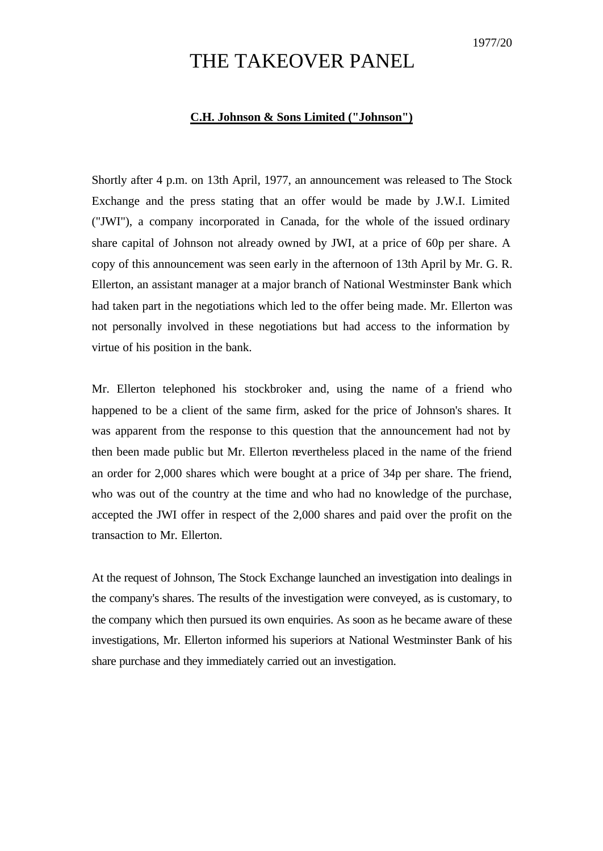## THE TAKEOVER PANEL

## **C.H. Johnson & Sons Limited ("Johnson")**

Shortly after 4 p.m. on 13th April, 1977, an announcement was released to The Stock Exchange and the press stating that an offer would be made by J.W.I. Limited ("JWI"), a company incorporated in Canada, for the whole of the issued ordinary share capital of Johnson not already owned by JWI, at a price of 60p per share. A copy of this announcement was seen early in the afternoon of 13th April by Mr. G. R. Ellerton, an assistant manager at a major branch of National Westminster Bank which had taken part in the negotiations which led to the offer being made. Mr. Ellerton was not personally involved in these negotiations but had access to the information by virtue of his position in the bank.

Mr. Ellerton telephoned his stockbroker and, using the name of a friend who happened to be a client of the same firm, asked for the price of Johnson's shares. It was apparent from the response to this question that the announcement had not by then been made public but Mr. Ellerton nevertheless placed in the name of the friend an order for 2,000 shares which were bought at a price of 34p per share. The friend, who was out of the country at the time and who had no knowledge of the purchase, accepted the JWI offer in respect of the 2,000 shares and paid over the profit on the transaction to Mr. Ellerton.

At the request of Johnson, The Stock Exchange launched an investigation into dealings in the company's shares. The results of the investigation were conveyed, as is customary, to the company which then pursued its own enquiries. As soon as he became aware of these investigations, Mr. Ellerton informed his superiors at National Westminster Bank of his share purchase and they immediately carried out an investigation.